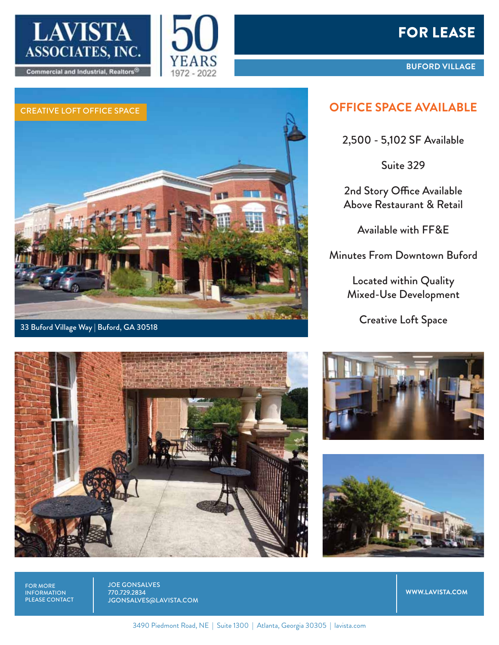



# FOR LEASE

**BUFORD VILLAGE**

# CREATIVE LOFT OFFICE SPACE **OFFICE SPACE AVAILABLE**

### 33 Buford Village Way | Buford, GA 30518

2,500 - 5,102 SF Available

Suite 329

2nd Story Office Available Above Restaurant & Retail

Available with FF&E

Minutes From Downtown Buford

Located within Quality Mixed-Use Development

Creative Loft Space







FOR MORE INFORMATION PLEASE CONTACT JOE GONSALVES 770.729.2834 JGONSALVES@LAVISTA.COM

**WWW.LAVISTA.COM**